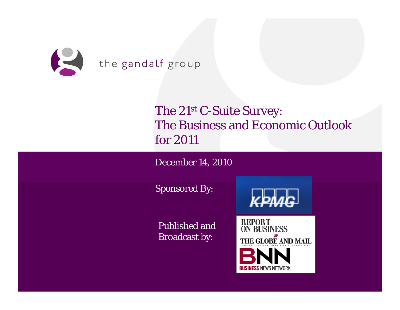

# The 21st C-Suite Survey: The Business and Economic Outlook for 2011

December 14, 2010

Sponsored By:



Published and Broadcast by:

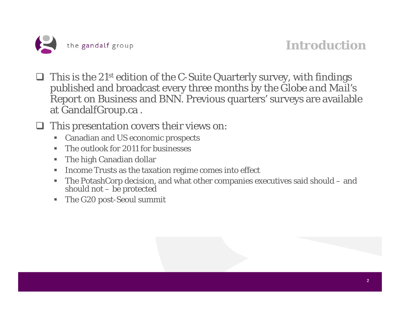

#### **Introduction**

- $\Box$  This is the 21<sup>st</sup> edition of the C-Suite Quarterly survey, with findings published and broadcast every three months by the *Globe and Mail's Report on Business* and *BNN*. Previous quarters' surveys are available at GandalfGroup.ca .
- $\Box$  This presentation covers their views on:
	- $\blacksquare$ Canadian and US economic prospects
	- п The outlook for 2011 for businesses
	- Г The high Canadian dollar
	- ш Income Trusts as the taxation regime comes into effect
	- $\blacksquare$ The PotashCorp decision, and what other companies executives said should – and should not – be protected
	- $\blacksquare$ The G20 post-Seoul summit

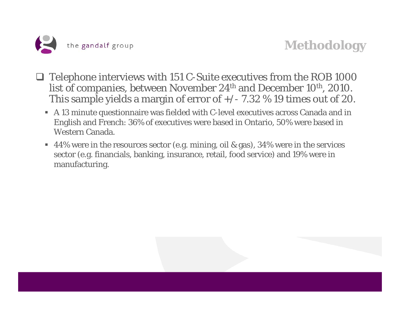

#### **Methodology**

- $\Box$  Telephone interviews with 151 C-Suite executives from the ROB 1000 list of companies, between November 24<sup>th</sup> and December 10<sup>th</sup>, 2010. This sample yields a margin of error of  $+/- 7.32$  % 19 times out of 20.
	- A 13 minute questionnaire was fielded with C-level executives across Canada and in English and French: 36% of executives were based in Ontario, 50% were based in Western Canada.
	- 44% were in the resources sector (e.g. mining, oil & gas), 34% were in the services sector (e.g. financials, banking, insurance, retail, food service) and 19% were in manufacturing.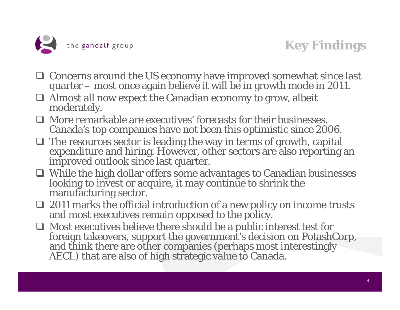

# **Key Findings**

- Concerns around the US economy have improved somewhat since last quarter – most once again believe it will be in growth mode in 2011.
- Almost all now expect the Canadian economy to grow, albeit moderately.
- More remarkable are executives' forecasts for their businesses. Canada's top companies have not been this optimistic since 2006.
- $\Box$  The resources sector is leading the way in terms of growth, capital expenditure and hiring. However, other sectors are also reporting an improved outlook since last quarter.
- While the high dollar offers some advantages to Canadian businesses looking to invest or acquire, it may continue to shrink the manufacturing sector.
- 2011 marks the official introduction of a new policy on income trusts and most executives remain opposed to the policy.
- $\Box$  Most executives believe there should be a public interest test for foreign takeovers, support the government's decision on PotashCorp, and think there are other companies (perhaps most interestingly AECL) that are also of high strategic value to Canada.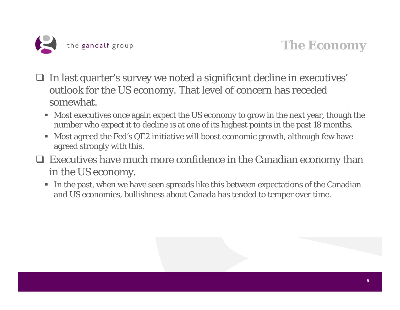

#### **The Economy**

- $\Box$  In last quarter's survey we noted a significant decline in executives' outlook for the US economy. That level of concern has receded somewhat.
	- Most executives once again expect the US economy to grow in the next year, though the number who expect it to decline is at one of its highest points in the past 18 months.
	- ш Most agreed the Fed's QE2 initiative will boost economic growth, although few have agreed strongly with this.
- Executives have much more confidence in the Canadian economy than in the US economy.
	- In the past, when we have seen spreads like this between expectations of the Canadian and US economies, bullishness about Canada has tended to temper over time.

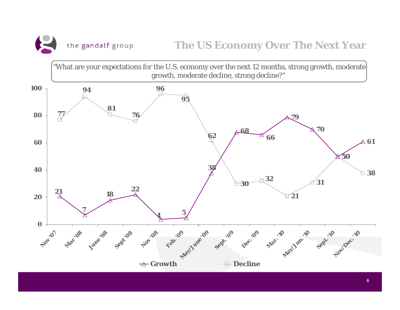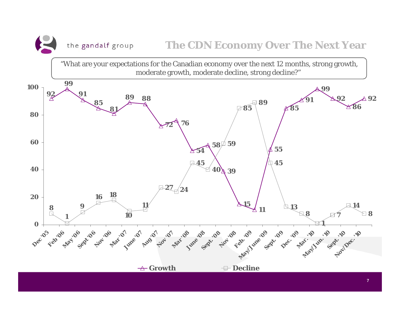the gandalf group

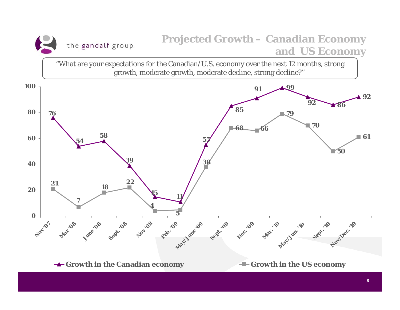#### **Projected Growth – Canadian Economy**  the gandalf group **and US Economy**

"What are your expectations for the Canadian/U.S. economy over the next 12 months, strong growth, moderate growth, moderate decline, strong decline?"

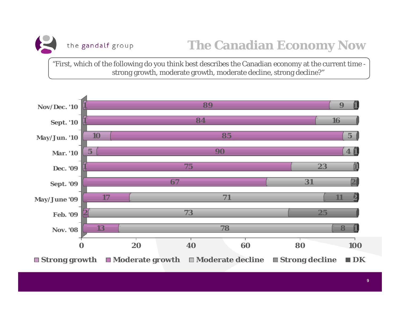

"First, which of the following do you think best describes the Canadian economy at the current time strong growth, moderate growth, moderate decline, strong decline?"

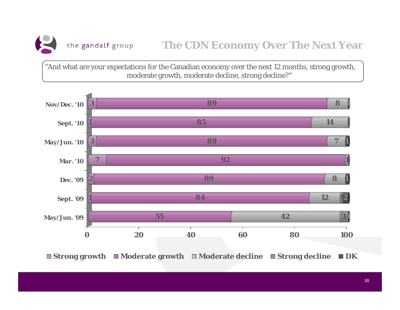

"And what are your expectations for the Canadian economy over the next 12 months, strong growth, moderate growth, moderate decline, strong decline?"



**Strong growth Moderate growth Moderate decline Strong decline DK**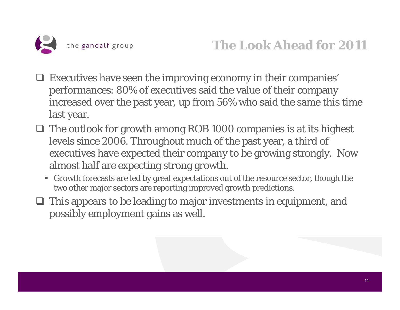

- Executives have seen the improving economy in their companies' performances: 80% of executives said the value of their company increased over the past year, up from 56% who said the same this time last year.
- $\Box$  The outlook for growth among ROB 1000 companies is at its highest levels since 2006. Throughout much of the past year, a third of executives have expected their company to be growing strongly. Now almost half are expecting strong growth.
	- Growth forecasts are led by great expectations out of the resource sector, though the two other major sectors are reporting improved growth predictions.
- $\Box$  This appears to be leading to major investments in equipment, and possibly employment gains as well.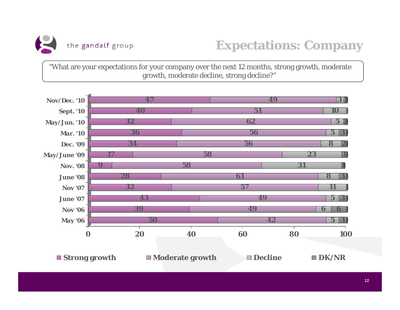

"What are your expectations for your company over the next 12 months, strong growth, moderate growth, moderate decline, strong decline?"

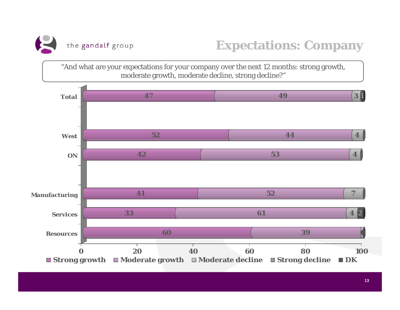

"And what are your expectations for your company over the next 12 months: strong growth, moderate growth, moderate decline, strong decline?"

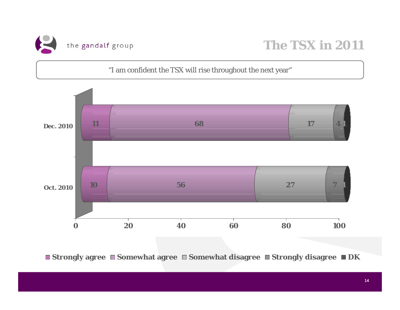

"I am confident the TSX will rise throughout the next year"



**Strongly agree Somewhat agree Somewhat disagree Strongly disagree DK**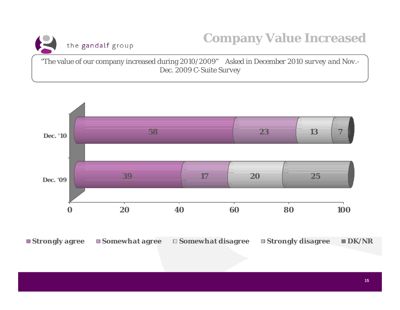

"The value of our company increased during 2010/2009" *Asked in December 2010 survey and Nov.- Dec. 2009 C-Suite Survey*



**Strongly agree Somewhat agree Somewhat disagree Strongly disagree DK/NR**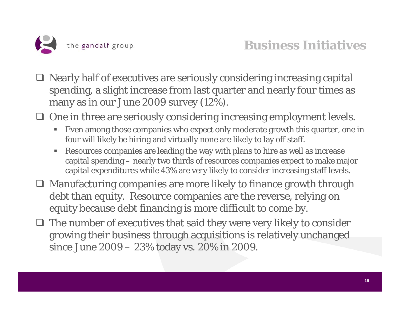

- □ Nearly half of executives are seriously considering increasing capital spending, a slight increase from last quarter and nearly four times as many as in our June 2009 survey (12%).
- □ One in three are seriously considering increasing employment levels.
	- $\blacksquare$  Even among those companies who expect only moderate growth this quarter, one in four will likely be hiring and virtually none are likely to lay off staff.
	- $\blacksquare$  Resources companies are leading the way with plans to hire as well as increase capital spending – nearly two thirds of resources companies expect to make major capital expenditures while 43% are very likely to consider increasing staff levels.
- Manufacturing companies are more likely to finance growth through debt than equity. Resource companies are the reverse, relying on equity because debt financing is more difficult to come by.
- $\Box$  The number of executives that said they were very likely to consider growing their business through acquisitions is relatively unchanged since June 2009 – 23% today vs. 20% in 2009.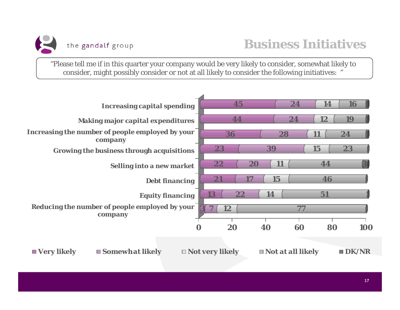

"Please tell me if in this quarter your company would be very likely to consider, somewhat likely to consider, might possibly consider or not at all likely to consider the following initiatives: "

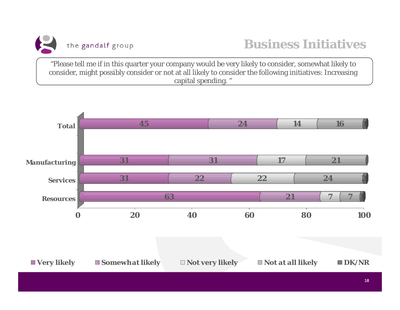

"Please tell me if in this quarter your company would be very likely to consider, somewhat likely to consider, might possibly consider or not at all likely to consider the following initiatives: Increasing capital spending. "

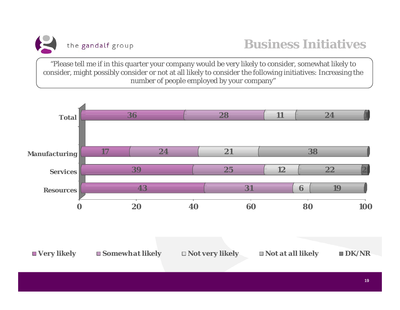

"Please tell me if in this quarter your company would be very likely to consider, somewhat likely to consider, might possibly consider or not at all likely to consider the following initiatives: Increasing the number of people employed by your company"

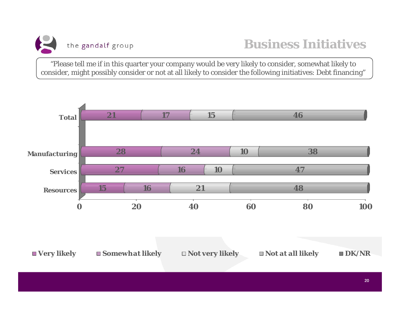

"Please tell me if in this quarter your company would be very likely to consider, somewhat likely to consider, might possibly consider or not at all likely to consider the following initiatives: Debt financing"

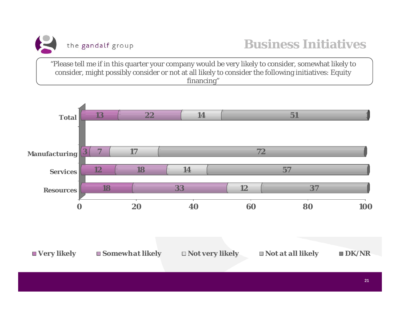

"Please tell me if in this quarter your company would be very likely to consider, somewhat likely to consider, might possibly consider or not at all likely to consider the following initiatives: Equity financing"



21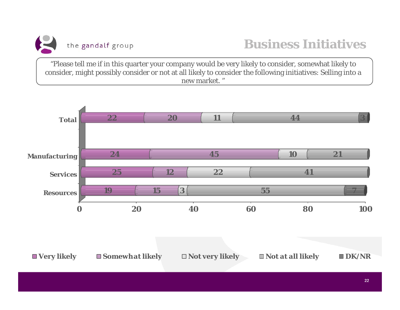

"Please tell me if in this quarter your company would be very likely to consider, somewhat likely to consider, might possibly consider or not at all likely to consider the following initiatives: Selling into a new market. "

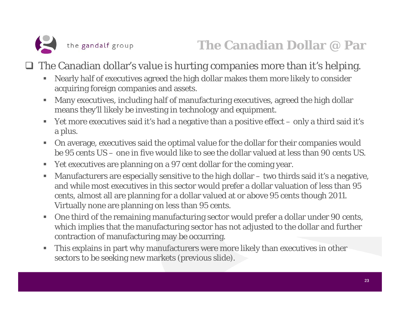

 $\Box$  The Canadian dollar's value is hurting companies more than it's helping.

- $\blacksquare$  Nearly half of executives agreed the high dollar makes them more likely to consider acquiring foreign companies and assets.
- $\blacksquare$  Many executives, including half of manufacturing executives, agreed the high dollar means they'll likely be investing in technology and equipment.
- Yet more executives said it's had a negative than a positive effect only a third said it's a plus.
- $\blacksquare$  On average, executives said the optimal value for the dollar for their companies would be 95 cents US – one in five would like to see the dollar valued at less than 90 cents US.
- $\mathcal{L}_{\mathcal{A}}$ Yet executives are planning on a 97 cent dollar for the coming year.
- $\blacksquare$  Manufacturers are especially sensitive to the high dollar – two thirds said it's a negative, and while most executives in this sector would prefer a dollar valuation of less than 95 cents, almost all are planning for a dollar valued at or above 95 cents though 2011. Virtually none are planning on less than 95 cents.
- $\blacksquare$  One third of the remaining manufacturing sector would prefer a dollar under 90 cents, which implies that the manufacturing sector has not adjusted to the dollar and further contraction of manufacturing may be occurring.
- $\blacksquare$  This explains in part why manufacturers were more likely than executives in other sectors to be seeking new markets (previous slide).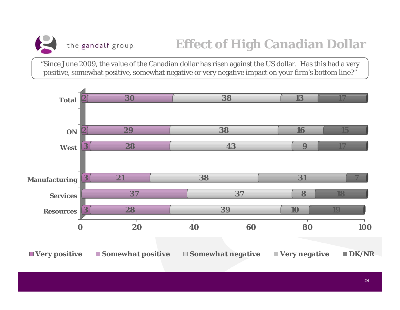"Since June 2009, the value of the Canadian dollar has risen against the US dollar. Has this had a very positive, somewhat positive, somewhat negative or very negative impact on your firm's bottom line?"

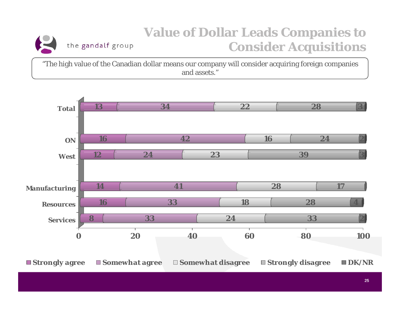#### **Value of Dollar Leads Companies to**  the gandalf group **Consider Acquisitions**

"The high value of the Canadian dollar means our company will consider acquiring foreign companies and assets."

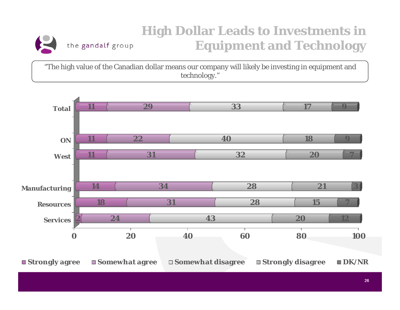#### **High Dollar Leads to Investments in**  the gandalf group **Equipment and Technology**

"The high value of the Canadian dollar means our company will likely be investing in equipment and technology."

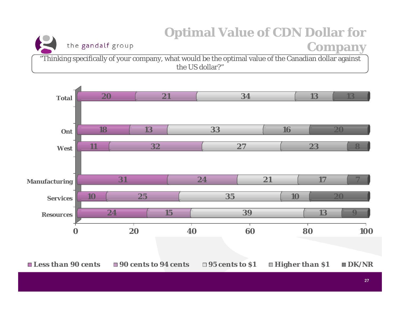# **Optimal Value of CDN Dollar for**

the gandalf group

#### **Company**

"Thinking specifically of your company, what would be the optimal value of the Canadian dollar against the US dollar?"

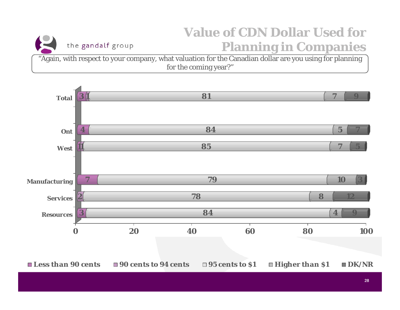### **Value of CDN Dollar Used for Planning in Companies**

"Again, with respect to your company, what valuation for the Canadian dollar are you using for planning for the coming year?"

the gandalf group

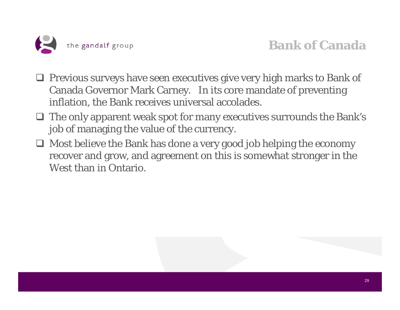

- $\Box$  Previous surveys have seen executives give very high marks to Bank of Canada Governor Mark Carney. In its core mandate of preventing inflation, the Bank receives universal accolades.
- $\Box$  The only apparent weak spot for many executives surrounds the Bank's job of managing the value of the currency.
- $\Box$  Most believe the Bank has done a very good job helping the economy recover and grow, and agreement on this is somewhat stronger in the West than in Ontario.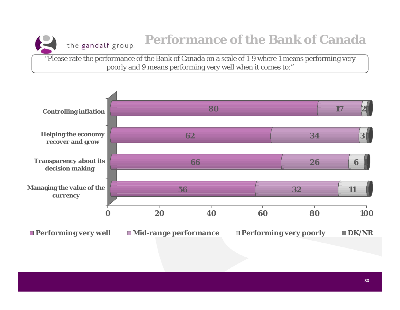

# **Performance of the Bank of Canada**

"Please rate the performance of the Bank of Canada on a scale of 1-9 where 1 means performing very poorly and 9 means performing very well when it comes to:"



30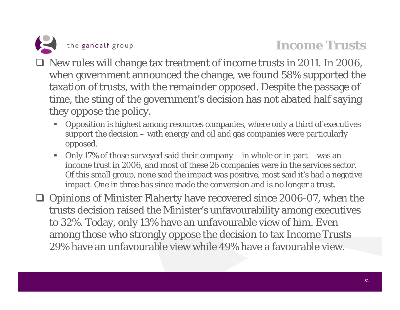

#### **Income Trusts**

- □ New rules will change tax treatment of income trusts in 2011. In 2006, when government announced the change, we found 58% supported the taxation of trusts, with the remainder opposed. Despite the passage of time, the sting of the government's decision has not abated half saying they oppose the policy.
	- Opposition is highest among resources companies, where only a third of executives support the decision – with energy and oil and gas companies were particularly opposed.
	- Only 17% of those surveyed said their company in whole or in part was an income trust in 2006, and most of these 26 companies were in the services sector. Of this small group, none said the impact was positive, most said it's had a negative impact. One in three has since made the conversion and is no longer a trust.

□ Opinions of Minister Flaherty have recovered since 2006-07, when the trusts decision raised the Minister's unfavourability among executives to 32%. Today, only 13% have an unfavourable view of him. Even among those who strongly oppose the decision to tax Income Trusts 29% have an unfavourable view while 49% have a favourable view.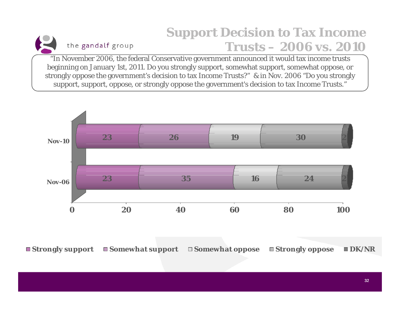# **Support Decision to Tax Income Trusts – 2006 vs. 2010**

"In November 2006, the federal Conservative government announced it would tax income trusts beginning on January 1st, 2011. Do you strongly support, somewhat support, somewhat oppose, or strongly oppose the government's decision to tax Income Trusts?" & in Nov. 2006 "Do you strongly support, support, oppose, or strongly oppose the government's decision to tax Income Trusts."

the gandalf group



**Strongly support Somewhat support Somewhat oppose Strongly oppose DK/NR**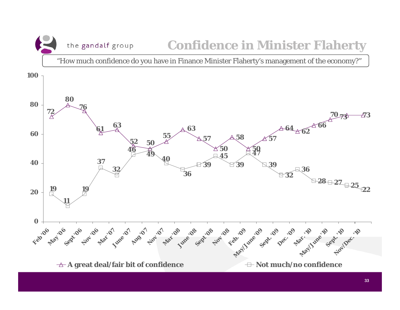the gandalf group

#### **Confidence in Minister Flaherty**

"How much confidence do you have in Finance Minister Flaherty's management of the economy?"

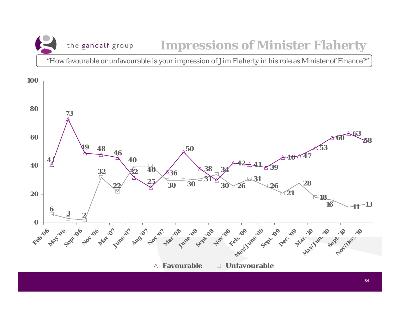the gandalf group **Impressions of Minister Flaherty** 

"How favourable or unfavourable is your impression of Jim Flaherty in his role as Minister of Finance?"

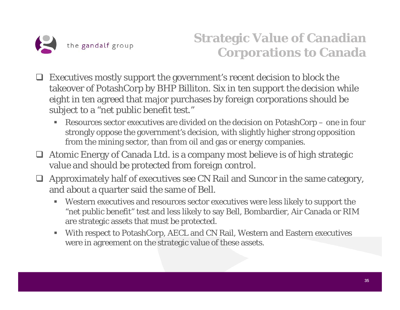

# **Strategic Value of Canadian Corporations to Canada**

- $\Box$  Executives mostly support the government's recent decision to block the takeover of PotashCorp by BHP Billiton. Six in ten support the decision while eight in ten agreed that major purchases by foreign corporations should be subject to a "net public benefit test."
	- $\blacksquare$  Resources sector executives are divided on the decision on PotashCorp – one in four strongly oppose the government's decision, with slightly higher strong opposition from the mining sector, than from oil and gas or energy companies.
- Atomic Energy of Canada Ltd. is a company most believe is of high strategic value and should be protected from foreign control.
- $\Box$  Approximately half of executives see CN Rail and Suncor in the same category, and about a quarter said the same of Bell.
	- Western executives and resources sector executives were less likely to support the "net public benefit" test and less likely to say Bell, Bombardier, Air Canada or RIM are strategic assets that must be protected.
	- $\blacksquare$  With respect to PotashCorp, AECL and CN Rail, Western and Eastern executives were in agreement on the strategic value of these assets.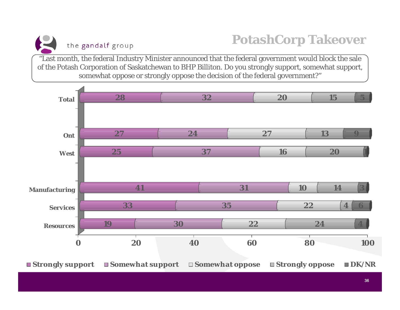**PotashCorp Takeover**

"Last month, the federal Industry Minister announced that the federal government would block the sale of the Potash Corporation of Saskatchewan to BHP Billiton. Do you strongly support, somewhat support, somewhat oppose or strongly oppose the decision of the federal government?"

the gandalf group

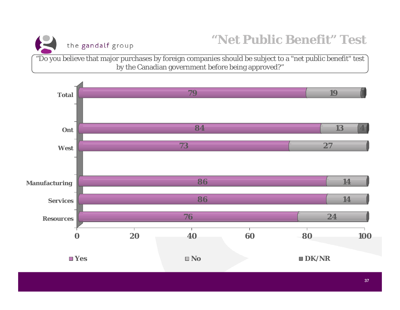

### **"Net Public Benefit" Test**

"Do you believe that major purchases by foreign companies should be subject to a "net public benefit" test by the Canadian government before being approved?"

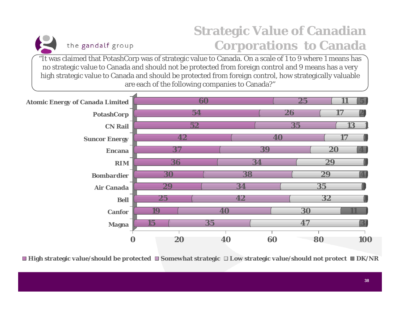# **Strategic Value of Canadian Corporations to Canada**

"It was claimed that PotashCorp was of strategic value to Canada. On a scale of 1 to 9 where 1 means has no strategic value to Canada and should not be protected from foreign control and 9 means has a very high strategic value to Canada and should be protected from foreign control, how strategically valuable are each of the following companies to Canada?"

the gandalf group



■ High strategic value/should be protected ■ Somewhat strategic □ Low strategic value/should not protect ■ DK/NR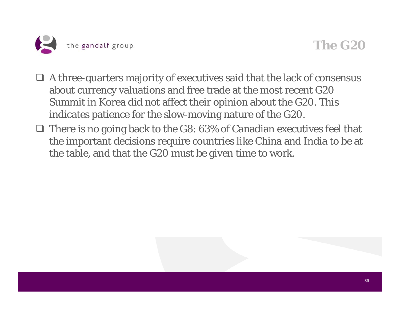

#### **The G20**

- A three-quarters majority of executives said that the lack of consensus about currency valuations and free trade at the most recent G20 Summit in Korea did not affect their opinion about the G20. This indicates patience for the slow-moving nature of the G20.
- $\Box$  There is no going back to the G8: 63% of Canadian executives feel that the important decisions require countries like China and India to be at the table, and that the G20 must be given time to work.